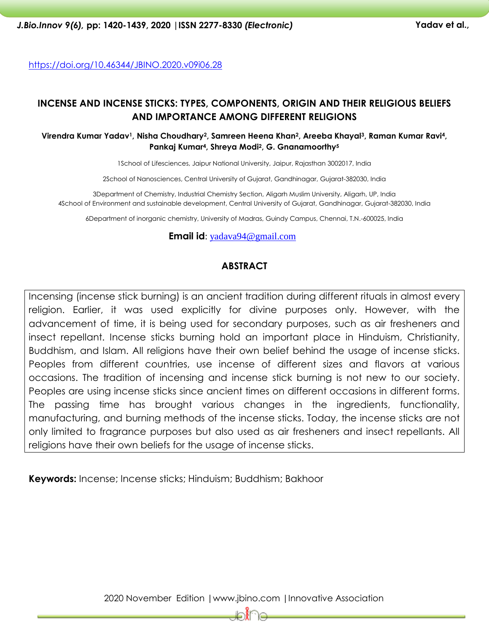https://doi.org/10.46344/JBINO.2020.v09i06.28

# **INCENSE AND INCENSE STICKS: TYPES, COMPONENTS, ORIGIN AND THEIR RELIGIOUS BELIEFS AND IMPORTANCE AMONG DIFFERENT RELIGIONS**

**Virendra Kumar Yadav1, Nisha Choudhary2, Samreen Heena Khan2, Areeba Khayal3, Raman Kumar Ravi4, Pankaj Kumar4, Shreya Modi2, G. Gnanamoorthy<sup>5</sup>**

1School of Lifesciences, Jaipur National University, Jaipur, Rajasthan 3002017, India

2School of Nanosciences, Central University of Gujarat, Gandhinagar, Gujarat-382030, India

3Department of Chemistry, Industrial Chemistry Section, Aligarh Muslim University, Aligarh, UP, India 4School of Environment and sustainable development, Central University of Gujarat, Gandhinagar, Gujarat-382030, India

6Department of inorganic chemistry, University of Madras, Guindy Campus, Chennai, T.N.-600025, India

#### **Email id**: [yadava94@gmail.com](mailto:yadava94@gmail.com)

### **ABSTRACT**

Incensing (incense stick burning) is an ancient tradition during different rituals in almost every religion. Earlier, it was used explicitly for divine purposes only. However, with the advancement of time, it is being used for secondary purposes, such as air fresheners and insect repellant. Incense sticks burning hold an important place in Hinduism, Christianity, Buddhism, and Islam. All religions have their own belief behind the usage of incense sticks. Peoples from different countries, use incense of different sizes and flavors at various occasions. The tradition of incensing and incense stick burning is not new to our society. Peoples are using incense sticks since ancient times on different occasions in different forms. The passing time has brought various changes in the ingredients, functionality, manufacturing, and burning methods of the incense sticks. Today, the incense sticks are not only limited to fragrance purposes but also used as air fresheners and insect repellants. All religions have their own beliefs for the usage of incense sticks.

**Keywords:** Incense; Incense sticks; Hinduism; Buddhism; Bakhoor

2020 November Edition |www.jbino.com |Innovative Association

َا∦َط

10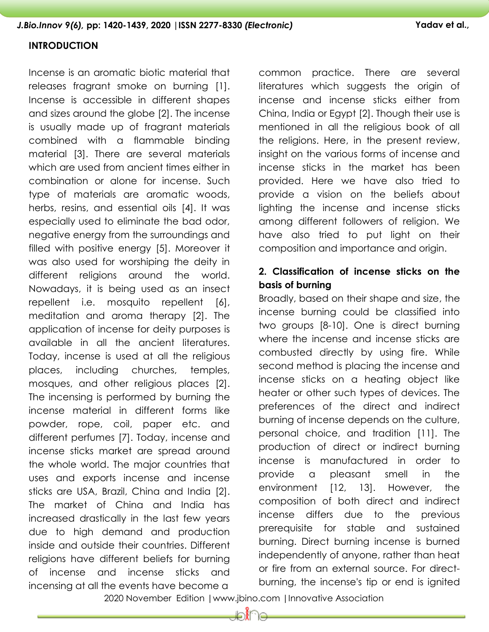### **INTRODUCTION**

Incense is an aromatic biotic material that releases fragrant smoke on burning [\[1\]](#page-14-0). Incense is accessible in different shapes and sizes around the globe [\[2\]](#page-14-1). The incense is usually made up of fragrant materials combined with a flammable binding material [\[3\]](#page-14-2). There are several materials which are used from ancient times either in combination or alone for incense. Such type of materials are aromatic woods, herbs, resins, and essential oils [\[4\]](#page-14-3). It was especially used to eliminate the bad odor, negative energy from the surroundings and filled with positive energy [\[5\]](#page-14-4). Moreover it was also used for worshiping the deity in different religions around the world. Nowadays, it is being used as an insect repellent i.e. mosquito repellent [\[6\]](#page-14-5), meditation and aroma therapy [\[2\]](#page-14-1). The application of incense for deity purposes is available in all the ancient literatures. Today, incense is used at all the religious places, including churches, temples, mosques, and other religious places [\[2\]](#page-14-1). The incensing is performed by burning the incense material in different forms like powder, rope, coil, paper etc. and different perfumes [\[7\]](#page-14-6). Today, incense and incense sticks market are spread around the whole world. The major countries that uses and exports incense and incense sticks are USA, Brazil, China and India [\[2\]](#page-14-1). The market of China and India has increased drastically in the last few years due to high demand and production inside and outside their countries. Different religions have different beliefs for burning of incense and incense sticks and incensing at all the events have become a

common practice. There are several literatures which suggests the origin of incense and incense sticks either from China, India or Egypt [\[2\]](#page-14-1). Though their use is mentioned in all the religious book of all the religions. Here, in the present review, insight on the various forms of incense and incense sticks in the market has been provided. Here we have also tried to provide a vision on the beliefs about lighting the incense and incense sticks among different followers of religion. We have also tried to put light on their composition and importance and origin.

# **2. Classification of incense sticks on the basis of burning**

Broadly, based on their shape and size, the incense burning could be classified into two groups [\[8-10\]](#page-14-7). One is direct burning where the incense and incense sticks are combusted directly by using fire. While second method is placing the incense and incense sticks on a heating object like heater or other such types of devices. The preferences of the direct and indirect burning of incense depends on the culture, personal choice, and tradition [\[11\]](#page-15-0). The production of direct or indirect burning incense is manufactured in order to provide a pleasant smell in the environment [\[12,](#page-15-1) [13\]](#page-15-2). However, the composition of both direct and indirect incense differs due to the previous prerequisite for stable and sustained burning. Direct burning incense is burned independently of anyone, rather than heat or fire from an external source. For directburning, the incense's tip or end is ignited

2020 November Edition |www.jbino.com |Innovative Association

lo∦∩e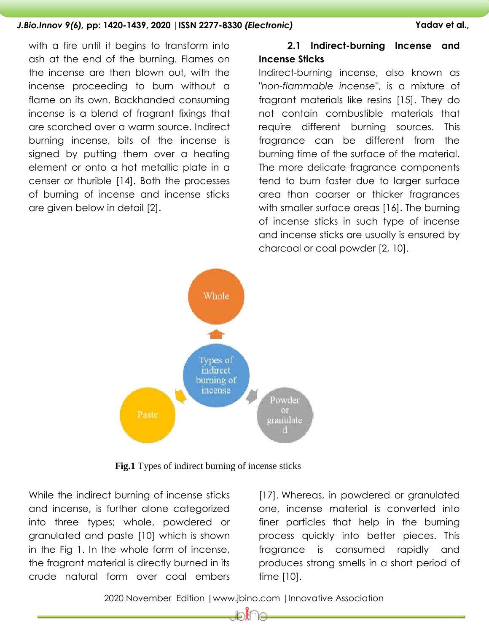with a fire until it begins to transform into ash at the end of the burning. Flames on the incense are then blown out, with the incense proceeding to burn without a flame on its own. Backhanded consuming incense is a blend of fragrant fixings that are scorched over a warm source. Indirect burning incense, bits of the incense is signed by putting them over a heating element or onto a hot metallic plate in a censer or thurible [\[14\]](#page-15-3). Both the processes of burning of incense and incense sticks are given below in detail [2].

# **2.1 Indirect-burning Incense and Incense Sticks**

Indirect-burning incense, also known as *"non-flammable incense"*, is a mixture of fragrant materials like resins [\[15\]](#page-15-4). They do not contain combustible materials that require different burning sources. This fragrance can be different from the burning time of the surface of the material. The more delicate fragrance components tend to burn faster due to larger surface area than coarser or thicker fragrances with smaller surface areas [\[16\]](#page-15-5). The burning of incense sticks in such type of incense and incense sticks are usually is ensured by charcoal or coal powder [\[2,](#page-14-1) [10\]](#page-15-6).



**Fig.1** Types of indirect burning of incense sticks

While the indirect burning of incense sticks and incense, is further alone categorized into three types; whole, powdered or granulated and paste [\[10\]](#page-15-6) which is shown in the Fig 1. In the whole form of incense, the fragrant material is directly burned in its crude natural form over coal embers

[\[17\]](#page-15-7). Whereas, in powdered or granulated one, incense material is converted into finer particles that help in the burning process quickly into better pieces. This fragrance is consumed rapidly and produces strong smells in a short period of time [\[10\]](#page-15-6).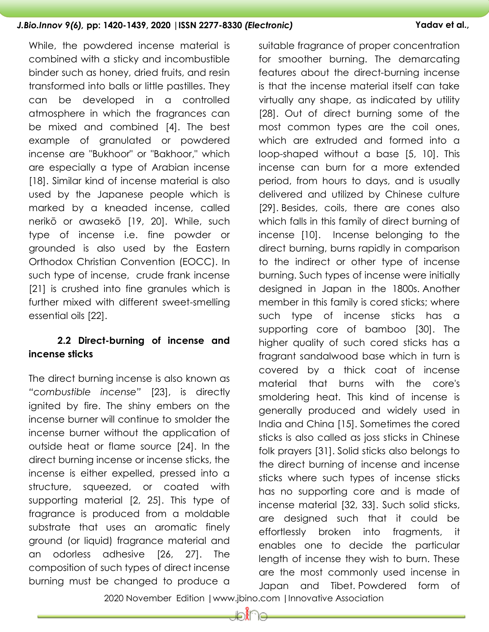While, the powdered incense material is combined with a sticky and incombustible binder such as honey, dried fruits, and resin transformed into balls or little pastilles. They can be developed in a controlled atmosphere in which the fragrances can be mixed and combined [\[4\]](#page-14-3). The best example of granulated or powdered incense are "Bukhoor" or "Bakhoor," which are especially a type of Arabian incense [\[18\]](#page-15-8). Similar kind of incense material is also used by the Japanese people which is marked by a kneaded incense, called nerikō or awasekō [\[19,](#page-15-9) [20\]](#page-15-10). While, such type of incense i.e. fine powder or grounded is also used by the Eastern Orthodox Christian Convention (EOCC). In such type of incense, crude frank incense [\[21\]](#page-16-0) is crushed into fine granules which is further mixed with different sweet-smelling essential oils [\[22\]](#page-16-1).

# **2.2 Direct-burning of incense and incense sticks**

The direct burning incense is also known as *"combustible incense"* [\[23\]](#page-16-2), is directly ignited by fire. The shiny embers on the incense burner will continue to smolder the incense burner without the application of outside heat or flame source [\[24\]](#page-16-3). In the direct burning incense or incense sticks, the incense is either expelled, pressed into a structure, squeezed, or coated with supporting material [\[2,](#page-14-1) [25\]](#page-16-4). This type of fragrance is produced from a moldable substrate that uses an aromatic finely ground (or liquid) fragrance material and an odorless adhesive [\[26,](#page-16-5) [27\]](#page-16-6). The composition of such types of direct incense burning must be changed to produce a

suitable fragrance of proper concentration for smoother burning. The demarcating features about the direct-burning incense is that the incense material itself can take virtually any shape, as indicated by utility [\[28\]](#page-16-7). Out of direct burning some of the most common types are the coil ones, which are extruded and formed into a loop-shaped without a base [\[5,](#page-14-4) [10\]](#page-15-6). This incense can burn for a more extended period, from hours to days, and is usually delivered and utilized by Chinese culture [\[29\]](#page-16-8). Besides, coils, there are cones also which falls in this family of direct burning of incense [\[10\]](#page-15-6). Incense belonging to the direct burning, burns rapidly in comparison to the indirect or other type of incense burning. Such types of incense were initially designed in Japan in the 1800s. Another member in this family is cored sticks; where such type of incense sticks has a supporting core of bamboo [\[30\]](#page-16-9). The higher quality of such cored sticks has a fragrant sandalwood base which in turn is covered by a thick coat of incense material that burns with the core's smoldering heat. This kind of incense is generally produced and widely used in India and China [\[15\]](#page-15-4). Sometimes the cored sticks is also called as joss sticks in Chinese folk prayers [\[31\]](#page-16-10). Solid sticks also belongs to the direct burning of incense and incense sticks where such types of incense sticks has no supporting core and is made of incense material [\[32,](#page-16-11) [33\]](#page-17-0). Such solid sticks, are designed such that it could be effortlessly broken into fragments, it enables one to decide the particular length of incense they wish to burn. These are the most commonly used incense in Japan and Tibet. Powdered form of

2020 November Edition |www.jbino.com |Innovative Association

⊫ി്ി≘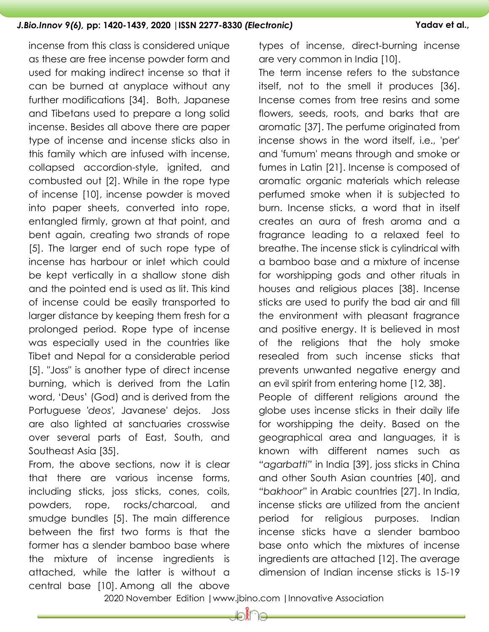incense from this class is considered unique as these are free incense powder form and used for making indirect incense so that it can be burned at anyplace without any further modifications [\[34\]](#page-17-1). Both, Japanese and Tibetans used to prepare a long solid incense. Besides all above there are paper type of incense and incense sticks also in this family which are infused with incense, collapsed accordion-style, ignited, and combusted out [\[2\]](#page-14-1). While in the rope type of incense [\[10\]](#page-15-6), incense powder is moved into paper sheets, converted into rope, entangled firmly, grown at that point, and bent again, creating two strands of rope [\[5\]](#page-14-4). The larger end of such rope type of incense has harbour or inlet which could be kept vertically in a shallow stone dish and the pointed end is used as lit. This kind of incense could be easily transported to larger distance by keeping them fresh for a prolonged period. Rope type of incense was especially used in the countries like Tibet and Nepal for a considerable period [\[5\]](#page-14-4). "Joss" is another type of direct incense burning, which is derived from the Latin word, "Deus" (God) and is derived from the Portuguese *'deos',* Javanese' dejos. Joss are also lighted at sanctuaries crosswise over several parts of East, South, and Southeast Asia [\[35\]](#page-17-2).

From, the above sections, now it is clear that there are various incense forms, including sticks, joss sticks, cones, coils, powders, rope, rocks/charcoal, and smudge bundles [\[5\]](#page-14-4). The main difference between the first two forms is that the former has a slender bamboo base where the mixture of incense ingredients is attached, while the latter is without a central base [\[10\]](#page-15-6). Among all the above

types of incense, direct-burning incense are very common in India [\[10\]](#page-15-6).

The term incense refers to the substance itself, not to the smell it produces [\[36\]](#page-17-3). Incense comes from tree resins and some flowers, seeds, roots, and barks that are aromatic [\[37\]](#page-17-4). The perfume originated from incense shows in the word itself, i.e., 'per' and 'fumum' means through and smoke or fumes in Latin [\[21\]](#page-16-0). Incense is composed of aromatic organic materials which release perfumed smoke when it is subjected to burn. Incense sticks, a word that in itself creates an aura of fresh aroma and a fragrance leading to a relaxed feel to breathe. The incense stick is cylindrical with a bamboo base and a mixture of incense for worshipping gods and other rituals in houses and religious places [\[38\]](#page-17-5). Incense sticks are used to purify the bad air and fill the environment with pleasant fragrance and positive energy. It is believed in most of the religions that the holy smoke resealed from such incense sticks that prevents unwanted negative energy and an evil spirit from entering home [\[12,](#page-15-1) [38\]](#page-17-5).

People of different religions around the globe uses incense sticks in their daily life for worshipping the deity. Based on the geographical area and languages, it is known with different names such as *"agarbatti"* in India [\[39\]](#page-17-6), joss sticks in China and other South Asian countries [\[40\]](#page-17-7), and *"bakhoor"* in Arabic countries [\[27\]](#page-16-6). In India, incense sticks are utilized from the ancient period for religious purposes. Indian incense sticks have a slender bamboo base onto which the mixtures of incense ingredients are attached [\[12\]](#page-15-1). The average dimension of Indian incense sticks is 15-19

2020 November Edition |www.jbino.com |Innovative Association

da 11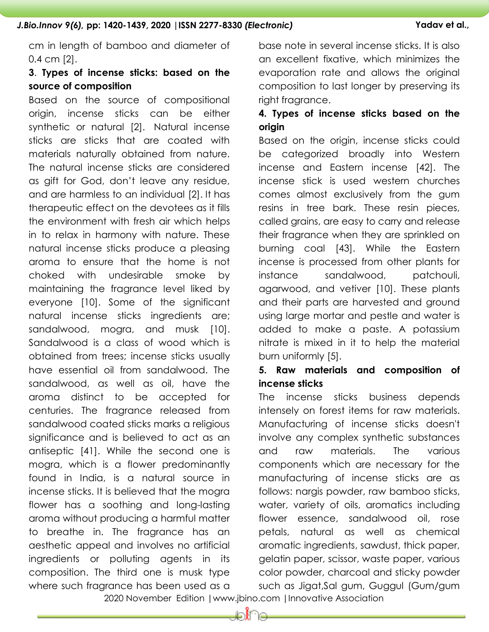cm in length of bamboo and diameter of 0.4 cm [\[2\]](#page-14-1).

# **3**. **Types of incense sticks: based on the source of composition**

Based on the source of compositional origin, incense sticks can be either synthetic or natural [\[2\]](#page-14-1). Natural incense sticks are sticks that are coated with materials naturally obtained from nature. The natural incense sticks are considered as gift for God, don"t leave any residue, and are harmless to an individual [\[2\]](#page-14-1). It has therapeutic effect on the devotees as it fills the environment with fresh air which helps in to relax in harmony with nature. These natural incense sticks produce a pleasing aroma to ensure that the home is not choked with undesirable smoke by maintaining the fragrance level liked by everyone [\[10\]](#page-15-6). Some of the significant natural incense sticks ingredients are; sandalwood, mogra, and musk [\[10\]](#page-15-6). Sandalwood is a class of wood which is obtained from trees; incense sticks usually have essential oil from sandalwood. The sandalwood, as well as oil, have the aroma distinct to be accepted for centuries. The fragrance released from sandalwood coated sticks marks a religious significance and is believed to act as an antiseptic [\[41\]](#page-17-8). While the second one is mogra, which is a flower predominantly found in India, is a natural source in incense sticks. It is believed that the mogra flower has a soothing and long-lasting aroma without producing a harmful matter to breathe in. The fragrance has an aesthetic appeal and involves no artificial ingredients or polluting agents in its composition. The third one is musk type where such fragrance has been used as a

base note in several incense sticks. It is also an excellent fixative, which minimizes the evaporation rate and allows the original composition to last longer by preserving its right fragrance.

# **4. Types of incense sticks based on the origin**

Based on the origin, incense sticks could be categorized broadly into Western incense and Eastern incense [\[42\]](#page-17-9). The incense stick is used western churches comes almost exclusively from the gum resins in tree bark. These resin pieces, called grains, are easy to carry and release their fragrance when they are sprinkled on burning coal [\[43\]](#page-17-10). While the Eastern incense is processed from other plants for instance sandalwood, patchouli, agarwood, and vetiver [\[10\]](#page-15-6). These plants and their parts are harvested and ground using large mortar and pestle and water is added to make a paste. A potassium nitrate is mixed in it to help the material burn uniformly [\[5\]](#page-14-4).

# **5. Raw materials and composition of incense sticks**

The incense sticks business depends intensely on forest items for raw materials. Manufacturing of incense sticks doesn't involve any complex synthetic substances and raw materials. The various components which are necessary for the manufacturing of incense sticks are as follows: nargis powder, raw bamboo sticks, water, variety of oils, aromatics including flower essence, sandalwood oil, rose petals, natural as well as chemical aromatic ingredients, sawdust, thick paper, gelatin paper, scissor, waste paper, various color powder, charcoal and sticky powder such as Jigat,Sal gum, Guggul (Gum/gum

2020 November Edition |www.jbino.com |Innovative Association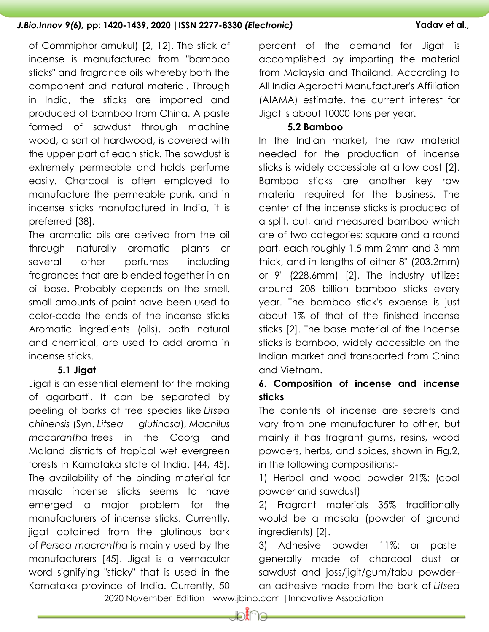of Commiphor amukul) [\[2,](#page-14-1) [12\]](#page-15-1). The stick of incense is manufactured from "bamboo sticks" and fragrance oils whereby both the component and natural material. Through in India, the sticks are imported and produced of bamboo from China. A paste formed of sawdust through machine wood, a sort of hardwood, is covered with the upper part of each stick. The sawdust is extremely permeable and holds perfume easily. Charcoal is often employed to manufacture the permeable punk, and in incense sticks manufactured in India, it is preferred [\[38\]](#page-17-5).

The aromatic oils are derived from the oil through naturally aromatic plants or several other perfumes including fragrances that are blended together in an oil base. Probably depends on the smell, small amounts of paint have been used to color-code the ends of the incense sticks Aromatic ingredients (oils), both natural and chemical, are used to add aroma in incense sticks.

### **5.1 Jigat**

Jigat is an essential element for the making of agarbatti. It can be separated by peeling of barks of tree species like *Litsea chinensis* (Syn. *Litsea glutinosa*), *Machilus macarantha* trees in the Coorg and Maland districts of tropical wet evergreen forests in Karnataka state of India. [\[44,](#page-18-0) [45\]](#page-18-1). The availability of the binding material for masala incense sticks seems to have emerged a major problem for the manufacturers of incense sticks. Currently, jigat obtained from the glutinous bark of *Persea macrantha* is mainly used by the manufacturers [\[45\]](#page-18-1). Jigat is a vernacular word signifying "sticky" that is used in the Karnataka province of India. Currently, 50

percent of the demand for Jigat is accomplished by importing the material from Malaysia and Thailand. According to All India Agarbatti Manufacturer's Affiliation (AIAMA) estimate, the current interest for Jigat is about 10000 tons per year.

### **5.2 Bamboo**

In the Indian market, the raw material needed for the production of incense sticks is widely accessible at a low cost [\[2\]](#page-14-1). Bamboo sticks are another key raw material required for the business. The center of the incense sticks is produced of a split, cut, and measured bamboo which are of two categories: square and a round part, each roughly 1.5 mm-2mm and 3 mm thick, and in lengths of either 8" (203.2mm) or 9" (228.6mm) [\[2\]](#page-14-1). The industry utilizes around 208 billion bamboo sticks every year. The bamboo stick's expense is just about 1% of that of the finished incense sticks [\[2\]](#page-14-1). The base material of the Incense sticks is bamboo, widely accessible on the Indian market and transported from China and Vietnam.

# **6. Composition of incense and incense sticks**

The contents of incense are secrets and vary from one manufacturer to other, but mainly it has fragrant gums, resins, wood powders, herbs, and spices, shown in Fig.2, in the following compositions:-

1) Herbal and wood powder 21%: (coal powder and sawdust)

2) Fragrant materials 35% traditionally would be a masala (powder of ground ingredients) [\[2\]](#page-14-1).

3) Adhesive powder 11%: or pastegenerally made of charcoal dust or sawdust and joss/jigit/gum/tabu powder–

 2020 November Edition |www.jbino.com |Innovative Association an adhesive made from the bark of *Litsea* 

≞∭

10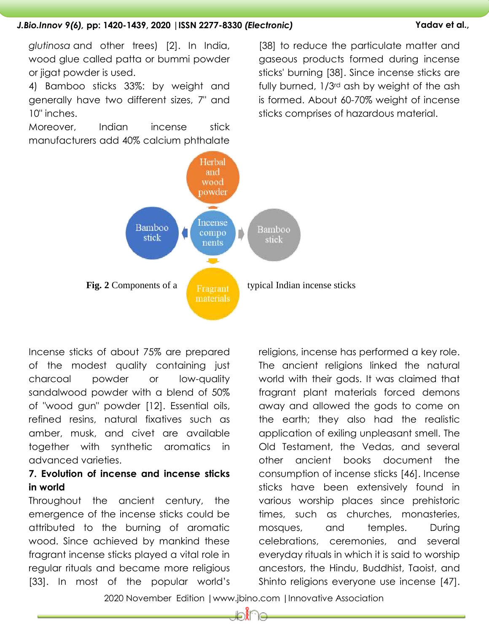*glutinosa* and other trees) [\[2\]](#page-14-1). In India, wood glue called patta or bummi powder or jigat powder is used.

4) Bamboo sticks 33%: by weight and generally have two different sizes, 7" and 10" inches.

Moreover, Indian incense stick manufacturers add 40% calcium phthalate

[\[38\]](#page-17-5) to reduce the particulate matter and gaseous products formed during incense sticks' burning [\[38\]](#page-17-5). Since incense sticks are fully burned, 1/3rd ash by weight of the ash is formed. About 60-70% weight of incense sticks comprises of hazardous material.



Incense sticks of about 75% are prepared of the modest quality containing just charcoal powder or low-quality sandalwood powder with a blend of 50% of "wood gun" powder [\[12\]](#page-15-1). Essential oils, refined resins, natural fixatives such as amber, musk, and civet are available together with synthetic aromatics in advanced varieties.

# **7. Evolution of incense and incense sticks in world**

Throughout the ancient century, the emergence of the incense sticks could be attributed to the burning of aromatic wood. Since achieved by mankind these fragrant incense sticks played a vital role in regular rituals and became more religious [\[33\]](#page-17-0). In most of the popular world"s religions, incense has performed a key role. The ancient religions linked the natural world with their gods. It was claimed that fragrant plant materials forced demons away and allowed the gods to come on the earth; they also had the realistic application of exiling unpleasant smell. The Old Testament, the Vedas, and several other ancient books document the consumption of incense sticks [\[46\]](#page-18-2). Incense sticks have been extensively found in various worship places since prehistoric times, such as churches, monasteries, mosques, and temples. During celebrations, ceremonies, and several everyday rituals in which it is said to worship ancestors, the Hindu, Buddhist, Taoist, and Shinto religions everyone use incense [\[47\]](#page-18-3).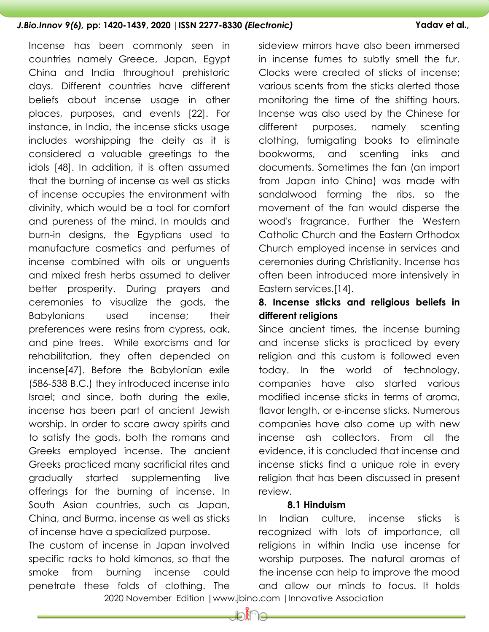Incense has been commonly seen in countries namely Greece, Japan, Egypt China and India throughout prehistoric days. Different countries have different beliefs about incense usage in other places, purposes, and events [\[22\]](#page-16-1). For instance, in India, the incense sticks usage includes worshipping the deity as it is considered a valuable greetings to the idols [\[48\]](#page-18-4). In addition, it is often assumed that the burning of incense as well as sticks of incense occupies the environment with divinity, which would be a tool for comfort and pureness of the mind. In moulds and burn-in designs, the Egyptians used to manufacture cosmetics and perfumes of incense combined with oils or unguents and mixed fresh herbs assumed to deliver better prosperity. During prayers and sideview mirrors have also been immersed Eastern services.[\[14\]](#page-15-3). **different religions**

ceremonies to visualize the gods, the Babylonians used incense; their preferences were resins from cypress, oak, and pine trees. While exorcisms and for rehabilitation, they often depended on incense[\[47\]](#page-18-3). Before the Babylonian exile (586-538 B.C.) they introduced incense into Israel; and since, both during the exile, incense has been part of ancient Jewish worship. In order to scare away spirits and to satisfy the gods, both the romans and Greeks employed incense. The ancient Greeks practiced many sacrificial rites and gradually started supplementing live offerings for the burning of incense. In South Asian countries, such as Japan, China, and Burma, incense as well as sticks of incense have a specialized purpose.

The custom of incense in Japan involved specific racks to hold kimonos, so that the smoke from burning incense could penetrate these folds of clothing. The

in incense fumes to subtly smell the fur. Clocks were created of sticks of incense; various scents from the sticks alerted those monitoring the time of the shifting hours. Incense was also used by the Chinese for different purposes, namely scenting clothing, fumigating books to eliminate bookworms, and scenting inks and documents. Sometimes the fan (an import from Japan into China) was made with sandalwood forming the ribs, so the movement of the fan would disperse the wood's fragrance. Further the Western Catholic Church and the Eastern Orthodox Church employed incense in services and ceremonies during Christianity. Incense has often been introduced more intensively in

# **8. Incense sticks and religious beliefs in**

Since ancient times, the incense burning and incense sticks is practiced by every religion and this custom is followed even today. In the world of technology, companies have also started various modified incense sticks in terms of aroma, flavor length, or e-incense sticks. Numerous companies have also come up with new incense ash collectors. From all the evidence, it is concluded that incense and incense sticks find a unique role in every religion that has been discussed in present review.

# **8.1 Hinduism**

 2020 November Edition |www.jbino.com |Innovative Association In Indian culture, incense sticks is recognized with lots of importance, all religions in within India use incense for worship purposes. The natural aromas of the incense can help to improve the mood and allow our minds to focus. It holds

⊫∩∦ില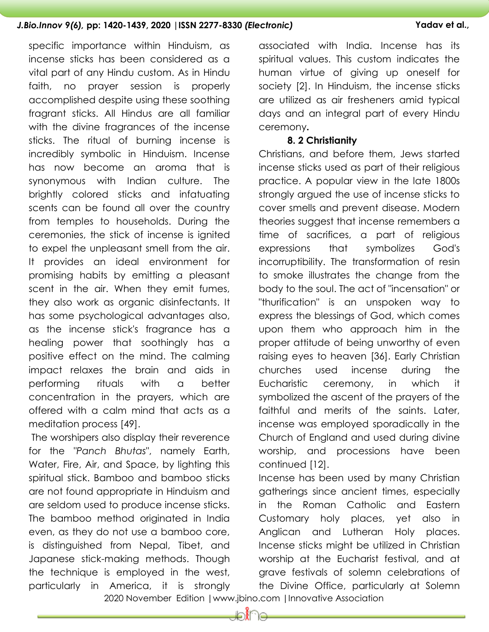specific importance within Hinduism, as incense sticks has been considered as a vital part of any Hindu custom. As in Hindu faith, no prayer session is properly accomplished despite using these soothing fragrant sticks. All Hindus are all familiar with the divine fragrances of the incense sticks. The ritual of burning incense is incredibly symbolic in Hinduism. Incense has now become an aroma that is synonymous with Indian culture. The brightly colored sticks and infatuating scents can be found all over the country from temples to households. During the ceremonies, the stick of incense is ignited to expel the unpleasant smell from the air. It provides an ideal environment for promising habits by emitting a pleasant scent in the air. When they emit fumes, they also work as organic disinfectants. It has some psychological advantages also, as the incense stick's fragrance has a healing power that soothingly has a positive effect on the mind. The calming impact relaxes the brain and aids in performing rituals with a better concentration in the prayers, which are offered with a calm mind that acts as a meditation process [\[49\]](#page-18-5).

The worshipers also display their reverence for the *"Panch Bhutas*", namely Earth, Water, Fire, Air, and Space, by lighting this spiritual stick. Bamboo and bamboo sticks are not found appropriate in Hinduism and are seldom used to produce incense sticks. The bamboo method originated in India even, as they do not use a bamboo core, is distinguished from Nepal, Tibet, and Japanese stick-making methods. Though the technique is employed in the west, particularly in America, it is strongly

associated with India. Incense has its spiritual values. This custom indicates the human virtue of giving up oneself for society [\[2\]](#page-14-1). In Hinduism, the incense sticks are utilized as air fresheners amid typical days and an integral part of every Hindu ceremony**.** 

### **8. 2 Christianity**

Christians, and before them, Jews started incense sticks used as part of their religious practice. A popular view in the late 1800s strongly argued the use of incense sticks to cover smells and prevent disease. Modern theories suggest that incense remembers a time of sacrifices, a part of religious expressions that symbolizes God's incorruptibility. The transformation of resin to smoke illustrates the change from the body to the soul. The act of "incensation" or "thurification" is an unspoken way to express the blessings of God, which comes upon them who approach him in the proper attitude of being unworthy of even raising eyes to heaven [\[36\]](#page-17-3). Early Christian churches used incense during the Eucharistic ceremony, in which it symbolized the ascent of the prayers of the faithful and merits of the saints. Later, incense was employed sporadically in the Church of England and used during divine worship, and processions have been continued [\[12\]](#page-15-1).

Incense has been used by many Christian gatherings since ancient times, especially in the Roman Catholic and Eastern Customary holy places, yet also in Anglican and Lutheran Holy places. Incense sticks might be utilized in Christian worship at the Eucharist festival, and at grave festivals of solemn celebrations of the Divine Office, particularly at Solemn

2020 November Edition |www.jbino.com |Innovative Association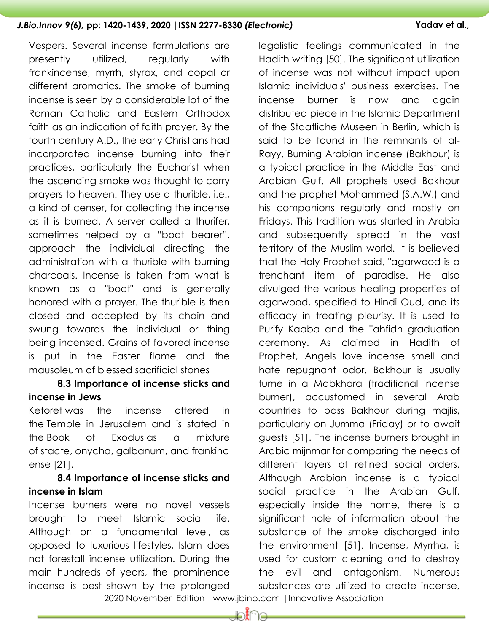Vespers. Several incense formulations are presently utilized, regularly with frankincense, myrrh, styrax, and copal or different aromatics. The smoke of burning incense is seen by a considerable lot of the Roman Catholic and Eastern Orthodox faith as an indication of faith prayer. By the fourth century A.D., the early Christians had incorporated incense burning into their practices, particularly the Eucharist when the ascending smoke was thought to carry prayers to heaven. They use a thurible, i.e., a kind of censer, for collecting the incense as it is burned. A server called a thurifer, sometimes helped by a "boat bearer", approach the individual directing the administration with a thurible with burning charcoals. Incense is taken from what is known as a "boat" and is generally honored with a prayer. The thurible is then closed and accepted by its chain and swung towards the individual or thing being incensed. Grains of favored incense is put in the Easter flame and the mausoleum of blessed sacrificial stones

# **8.3 Importance of incense sticks and incense in Jews**

Ketoret was the incense offered in the Temple in Jerusalem and is stated in the Book of Exodus as a mixture of stacte, onycha, galbanum, and frankinc ense [\[21\]](#page-16-0).

# **8.4 Importance of incense sticks and incense in Islam**

Incense burners were no novel vessels brought to meet Islamic social life. Although on a fundamental level, as opposed to luxurious lifestyles, Islam does not forestall incense utilization. During the main hundreds of years, the prominence incense is best shown by the prolonged

legalistic feelings communicated in the Hadith writing [\[50\]](#page-18-6). The significant utilization of incense was not without impact upon Islamic individuals' business exercises. The incense burner is now and again distributed piece in the Islamic Department of the Staatliche Museen in Berlin, which is said to be found in the remnants of al-Rayy. Burning Arabian incense (Bakhour) is a typical practice in the Middle East and Arabian Gulf. All prophets used Bakhour and the prophet Mohammed (S.A.W.) and his companions regularly and mostly on Fridays. This tradition was started in Arabia and subsequently spread in the vast territory of the Muslim world. It is believed that the Holy Prophet said, "agarwood is a trenchant item of paradise. He also divulged the various healing properties of agarwood, specified to Hindi Oud, and its efficacy in treating pleurisy. It is used to Purify Kaaba and the Tahfidh graduation ceremony. As claimed in Hadith of Prophet, Angels love incense smell and hate repugnant odor. Bakhour is usually fume in a Mabkhara (traditional incense burner), accustomed in several Arab countries to pass Bakhour during majlis, particularly on Jumma (Friday) or to await guests [\[51\]](#page-18-7). The incense burners brought in Arabic mijnmar for comparing the needs of different layers of refined social orders. Although Arabian incense is a typical social practice in the Arabian Gulf, especially inside the home, there is a significant hole of information about the substance of the smoke discharged into the environment [\[51\]](#page-18-7). Incense, Myrrha, is used for custom cleaning and to destroy the evil and antagonism. Numerous substances are utilized to create incense,

2020 November Edition |www.jbino.com |Innovative Association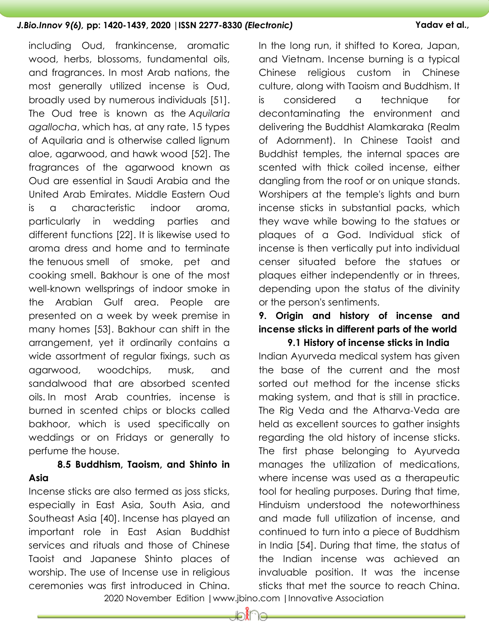including Oud, frankincense, aromatic wood, herbs, blossoms, fundamental oils, and fragrances. In most Arab nations, the most generally utilized incense is Oud, broadly used by numerous individuals [\[51\]](#page-18-7). The Oud tree is known as the *Aquilaria agallocha*, which has, at any rate, 15 types of Aquilaria and is otherwise called lignum aloe, agarwood, and hawk wood [\[52\]](#page-18-8). The fragrances of the agarwood known as Oud are essential in Saudi Arabia and the United Arab Emirates. Middle Eastern Oud is a characteristic indoor aroma, particularly in wedding parties and different functions [\[22\]](#page-16-1). It is likewise used to aroma dress and home and to terminate the tenuous smell of smoke, pet and cooking smell. Bakhour is one of the most well-known wellsprings of indoor smoke in the Arabian Gulf area. People are presented on a week by week premise in many homes [\[53\]](#page-18-9). Bakhour can shift in the arrangement, yet it ordinarily contains a wide assortment of regular fixings, such as agarwood, woodchips, musk, and sandalwood that are absorbed scented oils. In most Arab countries, incense is burned in scented chips or blocks called bakhoor, which is used specifically on weddings or on Fridays or generally to perfume the house.

# **8.5 Buddhism, Taoism, and Shinto in Asia**

Incense sticks are also termed as joss sticks, especially in East Asia, South Asia, and Southeast Asia [\[40\]](#page-17-7). Incense has played an important role in East Asian Buddhist services and rituals and those of Chinese Taoist and Japanese Shinto places of worship. The use of Incense use in religious ceremonies was first introduced in China.

In the long run, it shifted to Korea, Japan, and Vietnam. Incense burning is a typical Chinese religious custom in Chinese culture, along with Taoism and Buddhism. It is considered a technique for decontaminating the environment and delivering the Buddhist Alamkaraka (Realm of Adornment). In Chinese Taoist and Buddhist temples, the internal spaces are scented with thick coiled incense, either dangling from the roof or on unique stands. Worshipers at the temple's lights and burn incense sticks in substantial packs, which they wave while bowing to the statues or plaques of a God. Individual stick of incense is then vertically put into individual censer situated before the statues or plaques either independently or in threes, depending upon the status of the divinity or the person's sentiments.

# **9. Origin and history of incense and incense sticks in different parts of the world**

**9.1 History of incense sticks in India** Indian Ayurveda medical system has given the base of the current and the most sorted out method for the incense sticks making system, and that is still in practice. The Rig Veda and the Atharva-Veda are held as excellent sources to gather insights regarding the old history of incense sticks. The first phase belonging to Ayurveda manages the utilization of medications, where incense was used as a therapeutic tool for healing purposes. During that time, Hinduism understood the noteworthiness and made full utilization of incense, and continued to turn into a piece of Buddhism in India [\[54\]](#page-19-0). During that time, the status of the Indian incense was achieved an invaluable position. It was the incense sticks that met the source to reach China.

2020 November Edition |www.jbino.com |Innovative Association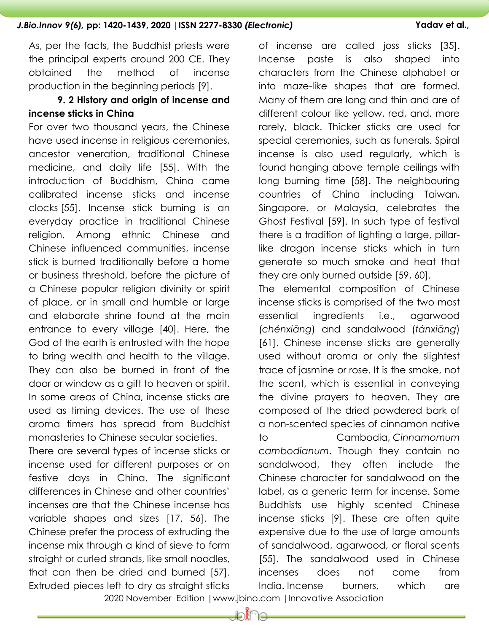As, per the facts, the Buddhist priests were the principal experts around 200 CE. They obtained the method of incense production in the beginning periods [\[9\]](#page-14-8).

# **9. 2 History and origin of incense and incense sticks in China**

For over two thousand years, the Chinese have used incense in religious ceremonies, ancestor veneration, traditional Chinese medicine, and daily life [\[55\]](#page-19-1). With the introduction of Buddhism, China came calibrated incense sticks and incense clocks [\[55\]](#page-19-1). Incense stick burning is an everyday practice in traditional Chinese religion. Among ethnic Chinese and Chinese influenced communities, incense stick is burned traditionally before a home or business threshold, before the picture of a Chinese popular religion divinity or spirit of place, or in small and humble or large and elaborate shrine found at the main entrance to every village [\[40\]](#page-17-7). Here, the God of the earth is entrusted with the hope to bring wealth and health to the village. They can also be burned in front of the door or window as a gift to heaven or spirit. In some areas of China, incense sticks are used as timing devices. The use of these aroma timers has spread from Buddhist monasteries to Chinese secular societies.

There are several types of incense sticks or incense used for different purposes or on festive days in China. The significant differences in Chinese and other countries" incenses are that the Chinese incense has variable shapes and sizes [\[17,](#page-15-7) [56\]](#page-19-2). The Chinese prefer the process of extruding the incense mix through a kind of sieve to form straight or curled strands, like small noodles, that can then be dried and burned [\[57\]](#page-19-3). Extruded pieces left to dry as straight sticks

of incense are called joss sticks [\[35\]](#page-17-2). Incense paste is also shaped into characters from the Chinese alphabet or into maze-like shapes that are formed. Many of them are long and thin and are of different colour like yellow, red, and, more rarely, black. Thicker sticks are used for special ceremonies, such as funerals. Spiral incense is also used regularly, which is found hanging above temple ceilings with long burning time [\[58\]](#page-19-4). The neighbouring countries of China including Taiwan, Singapore, or Malaysia, celebrates the Ghost Festival [\[59\]](#page-19-5). In such type of festival there is a tradition of lighting a large, pillarlike dragon incense sticks which in turn generate so much smoke and heat that they are only burned outside [\[59,](#page-19-5) [60\]](#page-19-6).

The elemental composition of Chinese incense sticks is comprised of the two most essential ingredients i.e., agarwood (*chénxiāng*) and sandalwood (*tánxiāng*) [\[61\]](#page-19-7). Chinese incense sticks are generally used without aroma or only the slightest trace of jasmine or rose. It is the smoke, not the scent, which is essential in conveying the divine prayers to heaven. They are composed of the dried powdered bark of a non-scented species of cinnamon native to Cambodia, *Cinnamomum cambodianum*. Though they contain no sandalwood, they often include the Chinese character for sandalwood on the label, as a generic term for incense. Some Buddhists use highly scented Chinese incense sticks [\[9\]](#page-14-8). These are often quite expensive due to the use of large amounts of sandalwood, agarwood, or floral scents [\[55\]](#page-19-1). The sandalwood used in Chinese incenses does not come from India. Incense burners, which are

2020 November Edition |www.jbino.com |Innovative Association

ക്∩ല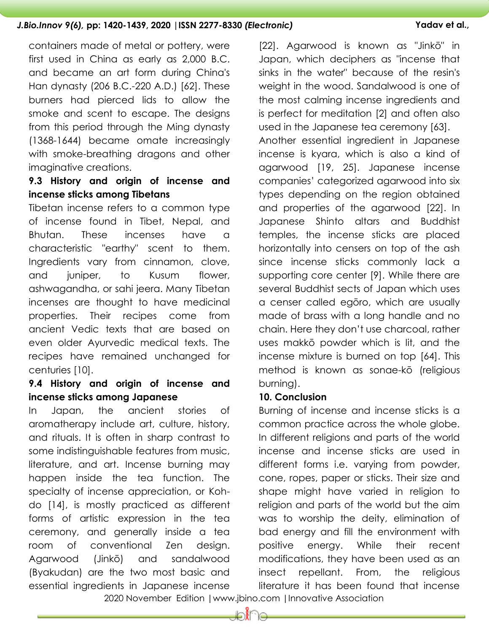containers made of metal or pottery, were first used in China as early as 2,000 B.C. and became an art form during China's Han dynasty (206 B.C.-220 A.D.) [\[62\]](#page-19-8). These burners had pierced lids to allow the smoke and scent to escape. The designs from this period through the Ming dynasty (1368-1644) became omate increasingly with smoke-breathing dragons and other imaginative creations.

# **9.3 History and origin of incense and incense sticks among Tibetans**

Tibetan incense refers to a common type of incense found in Tibet, Nepal, and Bhutan. These incenses have a characteristic "earthy" scent to them. Ingredients vary from cinnamon, clove, and juniper, to Kusum flower, ashwagandha, or sahi jeera. Many Tibetan incenses are thought to have medicinal properties. Their recipes come from ancient Vedic texts that are based on even older Ayurvedic medical texts. The recipes have remained unchanged for centuries [\[10\]](#page-15-6).

# **9.4 History and origin of incense and incense sticks among Japanese**

In Japan, the ancient stories of aromatherapy include art, culture, history, and rituals. It is often in sharp contrast to some indistinguishable features from music, literature, and art. Incense burning may happen inside the tea function. The specialty of incense appreciation, or Kohdo [\[14\]](#page-15-3), is mostly practiced as different forms of artistic expression in the tea ceremony, and generally inside a tea room of conventional Zen design. Agarwood (Jinkō) and sandalwood (Byakudan) are the two most basic and essential ingredients in Japanese incense

[\[22\]](#page-16-1). Agarwood is known as "Jinkō" in Japan, which deciphers as "incense that sinks in the water" because of the resin's weight in the wood. Sandalwood is one of the most calming incense ingredients and is perfect for meditation [\[2\]](#page-14-1) and often also used in the Japanese tea ceremony [\[63\]](#page-19-9). Another essential ingredient in Japanese incense is kyara, which is also a kind of agarwood [\[19,](#page-15-9) [25\]](#page-16-4). Japanese incense companies" categorized agarwood into six types depending on the region obtained and properties of the agarwood [\[22\]](#page-16-1). In Japanese Shinto altars and Buddhist temples, the incense sticks are placed horizontally into censers on top of the ash since incense sticks commonly lack a supporting core center [\[9\]](#page-14-8). While there are several Buddhist sects of Japan which uses a censer called egōro, which are usually made of brass with a long handle and no chain. Here they don"t use charcoal, rather uses makkō powder which is lit, and the incense mixture is burned on top [\[64\]](#page-19-10). This method is known as sonae-kō (religious burning).

### **10. Conclusion**

Burning of incense and incense sticks is a common practice across the whole globe. In different religions and parts of the world incense and incense sticks are used in different forms i.e. varying from powder, cone, ropes, paper or sticks. Their size and shape might have varied in religion to religion and parts of the world but the aim was to worship the deity, elimination of bad energy and fill the environment with positive energy. While their recent modifications, they have been used as an insect repellant. From, the religious literature it has been found that incense

2020 November Edition |www.jbino.com |Innovative Association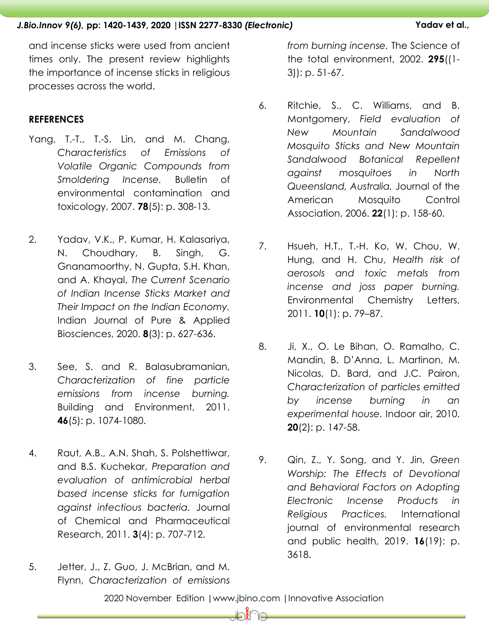and incense sticks were used from ancient times only. The present review highlights the importance of incense sticks in religious processes across the world.

### **REFERENCES**

- <span id="page-14-0"></span>Yang, T.-T., T.-S. Lin, and M. Chang, *Characteristics of Emissions of Volatile Organic Compounds from Smoldering Incense.* Bulletin of environmental contamination and toxicology, 2007. **78**(5): p. 308-13.
- <span id="page-14-1"></span>2. Yadav, V.K., P. Kumar, H. Kalasariya, N. Choudhary, B. Singh, G. Gnanamoorthy, N. Gupta, S.H. Khan, and A. Khayal, *The Current Scenario of Indian Incense Sticks Market and Their Impact on the Indian Economy.* Indian Journal of Pure & Applied Biosciences, 2020. **8**(3): p. 627-636.
- <span id="page-14-2"></span>3. See, S. and R. Balasubramanian, *Characterization of fine particle emissions from incense burning.* Building and Environment, 2011. **46**(5): p. 1074-1080.
- <span id="page-14-3"></span>4. Raut, A.B., A.N. Shah, S. Polshettiwar, and B.S. Kuchekar, *Preparation and evaluation of antimicrobial herbal based incense sticks for fumigation against infectious bacteria.* Journal of Chemical and Pharmaceutical Research, 2011. **3**(4): p. 707-712.
- <span id="page-14-4"></span>5. Jetter, J., Z. Guo, J. McBrian, and M. Flynn, *Characterization of emissions*

*from burning incense.* The Science of the total environment, 2002. **295**((1- 3)): p. 51-67.

- <span id="page-14-5"></span>6. Ritchie, S., C. Williams, and B. Montgomery, *Field evaluation of New Mountain Sandalwood Mosquito Sticks and New Mountain Sandalwood Botanical Repellent against mosquitoes in North Queensland, Australia.* Journal of the American Mosquito Control Association, 2006. **22**(1): p. 158-60.
- <span id="page-14-6"></span>7. Hsueh, H.T., T.-H. Ko, W. Chou, W. Hung, and H. Chu, *Health risk of aerosols and toxic metals from incense and joss paper burning.* Environmental Chemistry Letters, 2011. **10**(1): p. 79–87.
- <span id="page-14-7"></span>8. Ji, X., O. Le Bihan, O. Ramalho, C. Mandin, B. D"Anna, L. Martinon, M. Nicolas, D. Bard, and J.C. Pairon, *Characterization of particles emitted by incense burning in an experimental house.* Indoor air, 2010. **20**(2): p. 147-58.
- <span id="page-14-8"></span>9. Qin, Z., Y. Song, and Y. Jin, *Green Worship: The Effects of Devotional and Behavioral Factors on Adopting Electronic Incense Products in Religious Practices.* International journal of environmental research and public health, 2019. **16**(19): p. 3618.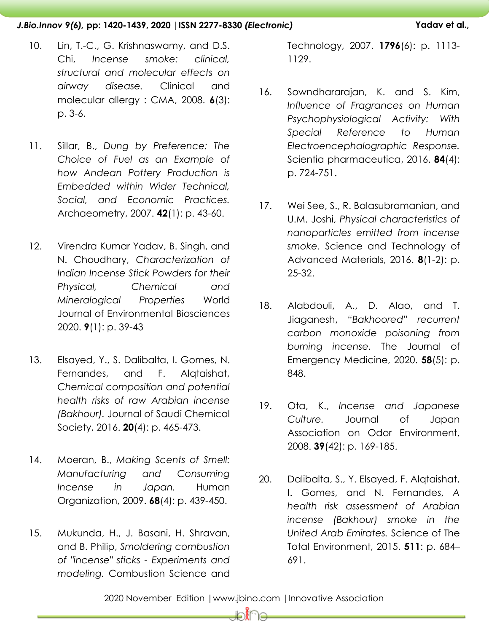- <span id="page-15-6"></span>10. Lin, T.-C., G. Krishnaswamy, and D.S. Chi, *Incense smoke: clinical, structural and molecular effects on airway disease.* Clinical and molecular allergy : CMA, 2008. **6**(3): p. 3-6.
- <span id="page-15-0"></span>11. Sillar, B., *Dung by Preference: The Choice of Fuel as an Example of how Andean Pottery Production is Embedded within Wider Technical, Social, and Economic Practices.* Archaeometry, 2007. **42**(1): p. 43-60.
- <span id="page-15-1"></span>12. Virendra Kumar Yadav, B. Singh, and N. Choudhary, *Characterization of Indian Incense Stick Powders for their Physical, Chemical and Mineralogical Properties* World Journal of Environmental Biosciences 2020. **9**(1): p. 39-43
- <span id="page-15-2"></span>13. Elsayed, Y., S. Dalibalta, I. Gomes, N. Fernandes, and F. Alqtaishat, *Chemical composition and potential health risks of raw Arabian incense (Bakhour).* Journal of Saudi Chemical Society, 2016. **20**(4): p. 465-473.
- <span id="page-15-3"></span>14. Moeran, B., *Making Scents of Smell: Manufacturing and Consuming Incense in Japan.* Human Organization, 2009. **68**(4): p. 439-450.
- <span id="page-15-4"></span>15. Mukunda, H., J. Basani, H. Shravan, and B. Philip, *Smoldering combustion of "incense" sticks - Experiments and modeling.* Combustion Science and

Technology, 2007. **1796**(6): p. 1113- 1129.

- <span id="page-15-5"></span>16. Sowndhararajan, K. and S. Kim, *Influence of Fragrances on Human Psychophysiological Activity: With Special Reference to Human Electroencephalographic Response.* Scientia pharmaceutica, 2016. **84**(4): p. 724-751.
- <span id="page-15-7"></span>17. Wei See, S., R. Balasubramanian, and U.M. Joshi, *Physical characteristics of nanoparticles emitted from incense smoke.* Science and Technology of Advanced Materials, 2016. **8**(1-2): p. 25-32.
- <span id="page-15-8"></span>18. Alabdouli, A., D. Alao, and T. Jiaganesh, *"Bakhoored" recurrent carbon monoxide poisoning from burning incense.* The Journal of Emergency Medicine, 2020. **58**(5): p. 848.
- <span id="page-15-9"></span>19. Ota, K., *Incense and Japanese Culture.* Journal of Japan Association on Odor Environment, 2008. **39**(42): p. 169-185.
- <span id="page-15-10"></span>20. Dalibalta, S., Y. Elsayed, F. Alqtaishat, I. Gomes, and N. Fernandes, *A health risk assessment of Arabian incense (Bakhour) smoke in the United Arab Emirates.* Science of The Total Environment, 2015. **511**: p. 684– 691.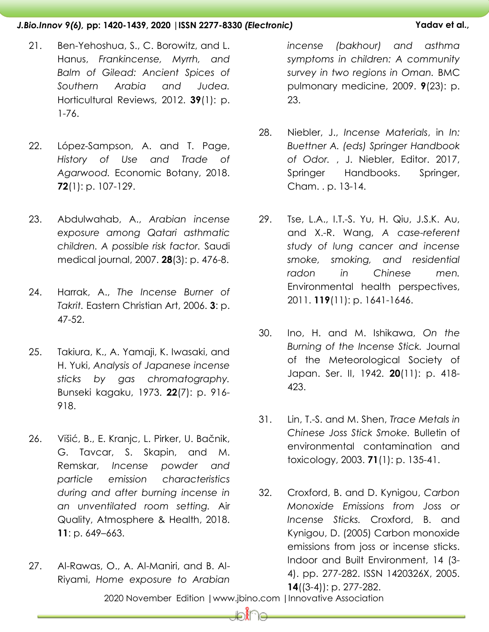- <span id="page-16-0"></span>21. Ben-Yehoshua, S., C. Borowitz, and L. Hanus, *Frankincense, Myrrh, and Balm of Gilead: Ancient Spices of Southern Arabia and Judea.* Horticultural Reviews, 2012. **39**(1): p. 1-76.
- <span id="page-16-1"></span>22. López-Sampson, A. and T. Page, *History of Use and Trade of Agarwood.* Economic Botany, 2018. **72**(1): p. 107-129.
- <span id="page-16-2"></span>23. Abdulwahab, A., *Arabian incense exposure among Qatari asthmatic children. A possible risk factor.* Saudi medical journal, 2007. **28**(3): p. 476-8.
- <span id="page-16-3"></span>24. Harrak, A., *The Incense Burner of Takrit.* Eastern Christian Art, 2006. **3**: p. 47-52.
- <span id="page-16-4"></span>25. Takiura, K., A. Yamaji, K. Iwasaki, and H. Yuki, *Analysis of Japanese incense sticks by gas chromatography.* Bunseki kagaku, 1973. **22**(7): p. 916- 918.
- <span id="page-16-5"></span>26. Višić, B., E. Kranjc, L. Pirker, U. Bačnik, G. Tavcar, S. Skapin, and M. Remskar, *Incense powder and particle emission characteristics during and after burning incense in an unventilated room setting.* Air Quality, Atmosphere & Health, 2018. **11**: p. 649–663.
- <span id="page-16-6"></span>27. Al-Rawas, O., A. Al-Maniri, and B. Al-Riyami, *Home exposure to Arabian*

*incense (bakhour) and asthma symptoms in children: A community survey in two regions in Oman.* BMC pulmonary medicine, 2009. **9**(23): p. 23.

- <span id="page-16-7"></span>28. Niebler, J., *Incense Materials*, in *In: Buettner A. (eds) Springer Handbook of Odor.* , J. Niebler, Editor. 2017, Springer Handbooks. Springer, Cham. . p. 13-14.
- <span id="page-16-8"></span>29. Tse, L.A., I.T.-S. Yu, H. Qiu, J.S.K. Au, and X.-R. Wang, *A case-referent study of lung cancer and incense smoke, smoking, and residential radon in Chinese men.* Environmental health perspectives, 2011. **119**(11): p. 1641-1646.
- <span id="page-16-9"></span>30. Ino, H. and M. Ishikawa, *On the Burning of the Incense Stick.* Journal of the Meteorological Society of Japan. Ser. II, 1942. **20**(11): p. 418- 423.
- <span id="page-16-10"></span>31. Lin, T.-S. and M. Shen, *Trace Metals in Chinese Joss Stick Smoke.* Bulletin of environmental contamination and toxicology, 2003. **71**(1): p. 135-41.
- <span id="page-16-11"></span>32. Croxford, B. and D. Kynigou, *Carbon Monoxide Emissions from Joss or Incense Sticks.* Croxford, B. and Kynigou, D. (2005) Carbon monoxide emissions from joss or incense sticks. Indoor and Built Environment, 14 (3- 4). pp. 277-282. ISSN 1420326X, 2005. **14**((3-4)): p. 277-282.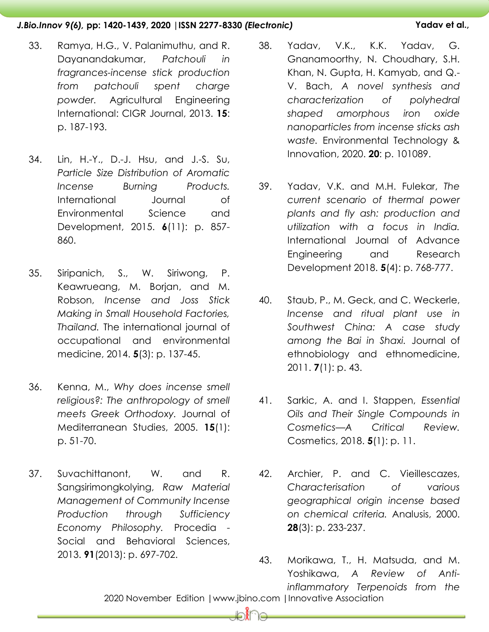- <span id="page-17-0"></span>33. Ramya, H.G., V. Palanimuthu, and R. Dayanandakumar, *Patchouli in fragrances-incense stick production from patchouli spent charge powder.* Agricultural Engineering International: CIGR Journal, 2013. **15**: p. 187-193.
- <span id="page-17-1"></span>34. Lin, H.-Y., D.-J. Hsu, and J.-S. Su, *Particle Size Distribution of Aromatic Incense Burning Products.* International Journal of Environmental Science and Development, 2015. **6**(11): p. 857- 860.
- <span id="page-17-2"></span>35. Siripanich, S., W. Siriwong, P. Keawrueang, M. Borjan, and M. Robson, *Incense and Joss Stick Making in Small Household Factories, Thailand.* The international journal of occupational and environmental medicine, 2014. **5**(3): p. 137-45.
- <span id="page-17-3"></span>36. Kenna, M., *Why does incense smell religious?: The anthropology of smell meets Greek Orthodoxy.* Journal of Mediterranean Studies, 2005. **15**(1): p. 51-70.
- <span id="page-17-4"></span>37. Suvachittanont, W. and R. Sangsirimongkolying, *Raw Material Management of Community Incense Production through Sufficiency Economy Philosophy.* Procedia - Social and Behavioral Sciences, 2013. **91**(2013): p. 697-702.
- <span id="page-17-5"></span>38. Yadav, V.K., K.K. Yadav, G. Gnanamoorthy, N. Choudhary, S.H. Khan, N. Gupta, H. Kamyab, and Q.- V. Bach, *A novel synthesis and characterization of polyhedral shaped amorphous iron oxide nanoparticles from incense sticks ash waste.* Environmental Technology & Innovation, 2020. **20**: p. 101089.
- <span id="page-17-6"></span>39. Yadav, V.K. and M.H. Fulekar, *The current scenario of thermal power plants and fly ash: production and utilization with a focus in India.* International Journal of Advance Engineering and Research Development 2018. **5**(4): p. 768-777.
- <span id="page-17-7"></span>40. Staub, P., M. Geck, and C. Weckerle, *Incense and ritual plant use in Southwest China: A case study among the Bai in Shaxi.* Journal of ethnobiology and ethnomedicine, 2011. **7**(1): p. 43.
- <span id="page-17-8"></span>41. Sarkic, A. and I. Stappen, *Essential Oils and Their Single Compounds in Cosmetics—A Critical Review.* Cosmetics, 2018. **5**(1): p. 11.
- <span id="page-17-10"></span><span id="page-17-9"></span>42. Archier, P. and C. Vieillescazes, *Characterisation of various geographical origin incense based on chemical criteria.* Analusis, 2000. **28**(3): p. 233-237.
- 2020 November Edition |www.jbino.com |Innovative Association 43. Morikawa, T., H. Matsuda, and M. Yoshikawa, *A Review of Antiinflammatory Terpenoids from the*

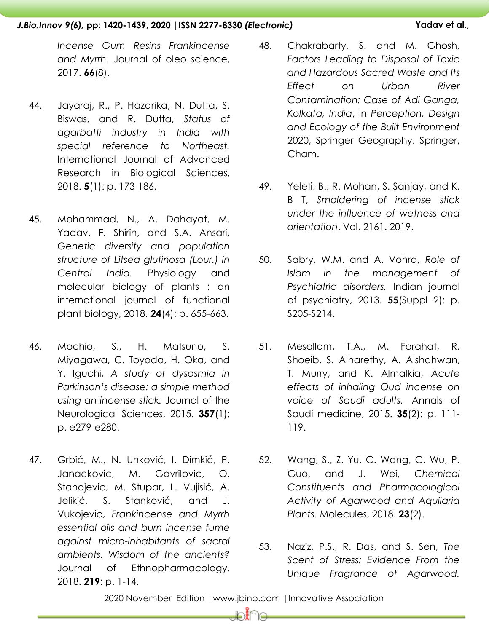*Incense Gum Resins Frankincense and Myrrh.* Journal of oleo science, 2017. **66**(8).

- <span id="page-18-0"></span>44. Jayaraj, R., P. Hazarika, N. Dutta, S. Biswas, and R. Dutta, *Status of agarbatti industry in India with special reference to Northeast.* International Journal of Advanced Research in Biological Sciences, 2018. **5**(1): p. 173-186.
- <span id="page-18-1"></span>45. Mohammad, N., A. Dahayat, M. Yadav, F. Shirin, and S.A. Ansari, *Genetic diversity and population structure of Litsea glutinosa (Lour.) in Central India.* Physiology and molecular biology of plants : an international journal of functional plant biology, 2018. **24**(4): p. 655-663.
- <span id="page-18-2"></span>46. Mochio, S., H. Matsuno, S. Miyagawa, C. Toyoda, H. Oka, and Y. Iguchi, *A study of dysosmia in Parkinson's disease: a simple method using an incense stick.* Journal of the Neurological Sciences, 2015. **357**(1): p. e279-e280.
- <span id="page-18-3"></span>47. Grbić, M., N. Unković, I. Dimkić, P. Janackovic, M. Gavrilovic, O. Stanojevic, M. Stupar, L. Vujisić, A. Jelikić, S. Stanković, and J. Vukojevic, *Frankincense and Myrrh essential oils and burn incense fume against micro-inhabitants of sacral ambients. Wisdom of the ancients?* Journal of Ethnopharmacology, 2018. **219**: p. 1-14.
- <span id="page-18-4"></span>48. Chakrabarty, S. and M. Ghosh, *Factors Leading to Disposal of Toxic and Hazardous Sacred Waste and Its Effect on Urban River Contamination: Case of Adi Ganga, Kolkata, India*, in *Perception, Design and Ecology of the Built Environment*  2020, Springer Geography. Springer, Cham.
- <span id="page-18-5"></span>49. Yeleti, B., R. Mohan, S. Sanjay, and K. B T, *Smoldering of incense stick under the influence of wetness and orientation*. Vol. 2161. 2019.
- <span id="page-18-6"></span>50. Sabry, W.M. and A. Vohra, *Role of Islam in the management of Psychiatric disorders.* Indian journal of psychiatry, 2013. **55**(Suppl 2): p. S205-S214.
- <span id="page-18-7"></span>51. Mesallam, T.A., M. Farahat, R. Shoeib, S. Alharethy, A. Alshahwan, T. Murry, and K. Almalkia, *Acute effects of inhaling Oud incense on voice of Saudi adults.* Annals of Saudi medicine, 2015. **35**(2): p. 111- 119.
- <span id="page-18-8"></span>52. Wang, S., Z. Yu, C. Wang, C. Wu, P. Guo, and J. Wei, *Chemical Constituents and Pharmacological Activity of Agarwood and Aquilaria Plants.* Molecules, 2018. **23**(2).
- <span id="page-18-9"></span>53. Naziz, P.S., R. Das, and S. Sen, *The Scent of Stress: Evidence From the Unique Fragrance of Agarwood.*